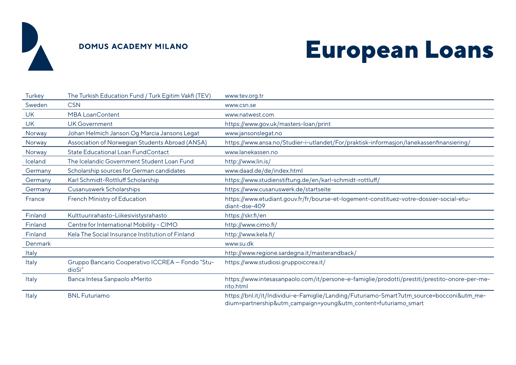

### **DOMUS ACADEMY MILANO**

# **European Loans**

| Turkey    | The Turkish Education Fund / Turk Egitim Vakfi (TEV)       | www.tev.org.tr                                                                                                                                               |
|-----------|------------------------------------------------------------|--------------------------------------------------------------------------------------------------------------------------------------------------------------|
| Sweden    | <b>CSN</b>                                                 | www.csn.se                                                                                                                                                   |
| <b>UK</b> | <b>MBA LoanContent</b>                                     | www.natwest.com                                                                                                                                              |
| <b>UK</b> | <b>UK Government</b>                                       | https://www.gov.uk/masters-loan/print                                                                                                                        |
| Norway    | Johan Helmich Janson Og Marcia Jansons Legat               | www.jansonslegat.no                                                                                                                                          |
| Norway    | Association of Norwegian Students Abroad (ANSA)            | https://www.ansa.no/Studier-i-utlandet/For/praktisk-informasjon/lanekassenfinansiering/                                                                      |
| Norway    | <b>State Educational Loan FundContact</b>                  | www.lanekassen.no                                                                                                                                            |
| Iceland   | The Icelandic Government Student Loan Fund                 | http://www.lin.is/                                                                                                                                           |
| Germany   | Scholarship sources for German candidates                  | www.daad.de/de/index.html                                                                                                                                    |
| Germany   | Karl Schmidt-Rottluff Scholarship                          | https://www.studienstiftung.de/en/karl-schmidt-rottluff/                                                                                                     |
| Germany   | <b>Cusanuswerk Scholarships</b>                            | https://www.cusanuswerk.de/startseite                                                                                                                        |
| France    | French Ministry of Education                               | https://www.etudiant.gouv.fr/fr/bourse-et-logement-constituez-votre-dossier-social-etu-<br>diant-dse-409                                                     |
| Finland   | Kulttuurirahasto-Liikesivistysrahasto                      | https://skr.fi/en                                                                                                                                            |
| Finland   | Centre for International Mobility - CIMO                   | http://www.cimo.fi/                                                                                                                                          |
| Finland   | Kela The Social Insurance Institution of Finland           | http://www.kela.fi/                                                                                                                                          |
| Denmark   |                                                            | www.su.dk                                                                                                                                                    |
| Italy     |                                                            | http://www.regione.sardegna.it/masterandback/                                                                                                                |
| Italy     | Gruppo Bancario Cooperativo ICCREA - Fondo "Stu-<br>dioSì" | https://www.studiosi.gruppoiccrea.it/                                                                                                                        |
| Italy     | Banca Intesa Sanpaolo xMerito                              | https://www.intesasanpaolo.com/it/persone-e-famiglie/prodotti/prestiti/prestito-onore-per-me-<br>rito.html                                                   |
| Italy     | <b>BNL Futuriamo</b>                                       | https://bnl.it/it/Individui-e-Famiglie/Landing/Futuriamo-Smart?utm_source=bocconi&utm_me-<br>dium=partnership&utm_campaign=young&utm_content=futuriamo_smart |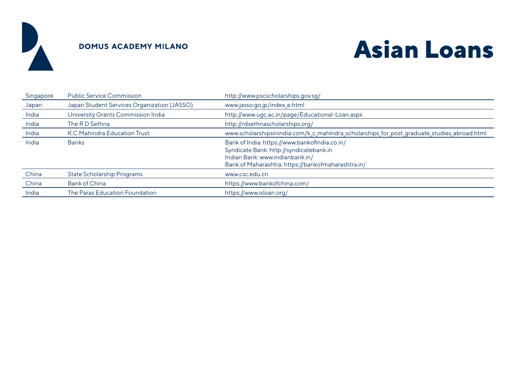

### **DOMUS ACADEMY MILANO**

## **Asian Loans**

| Singapore | <b>Public Service Commission</b>            | http://www.pscscholarships.gov.sg/                                                                                                                                                |
|-----------|---------------------------------------------|-----------------------------------------------------------------------------------------------------------------------------------------------------------------------------------|
| Japan     | Japan Student Services Organization (JASSO) | www.jasso.go.jp/index_e.html                                                                                                                                                      |
| India     | University Grants Commission India          | http://www.ugc.ac.in/page/Educational-Loan.aspx                                                                                                                                   |
| India     | The RD Sethna                               | http://rdsethnascholarships.org/                                                                                                                                                  |
| India     | K.C Mahindra Education Trust                | www.scholarshipsinindia.com/k_c_mahindra_scholarships_for_post_graduate_studies_abroad.html                                                                                       |
| India     | <b>Banks</b>                                | Bank of India: https://www.bankofindia.co.in/<br>Syndicate Bank: http://syndicatebank.in<br>Indian Bank: www.indianbank.in/<br>Bank of Maharashtra: https://bankofmaharashtra.in/ |
| China     | <b>State Scholarship Programs</b>           | www.csc.edu.cn                                                                                                                                                                    |
| China     | <b>Bank of China</b>                        | https://www.bankofchina.com/                                                                                                                                                      |
| India     | The Paras Education Foundation.             | https://www.isloan.org/                                                                                                                                                           |